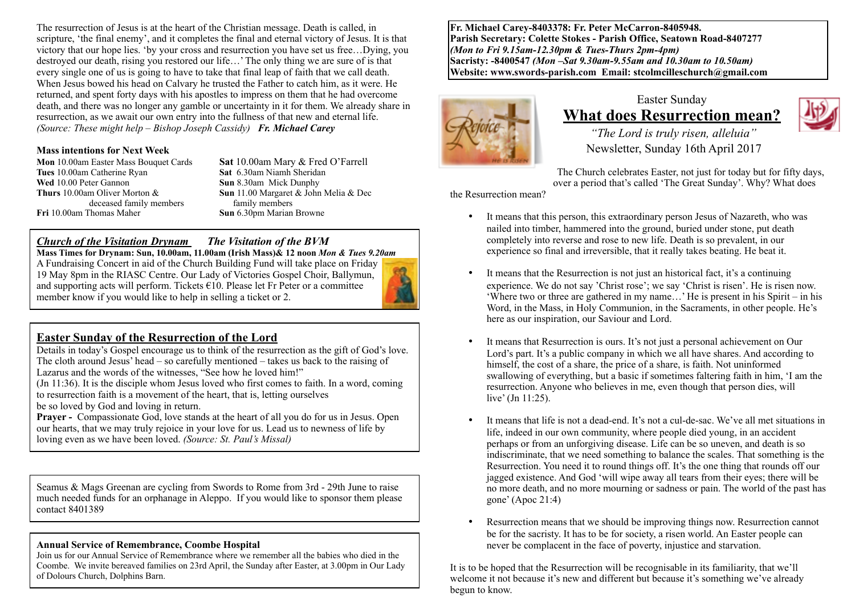The resurrection of Jesus is at the heart of the Christian message. Death is called, in scripture, 'the final enemy', and it completes the final and eternal victory of Jesus. It is that victory that our hope lies. 'by your cross and resurrection you have set us free…Dying, you destroyed our death, rising you restored our life…' The only thing we are sure of is that every single one of us is going to have to take that final leap of faith that we call death. When Jesus bowed his head on Calvary he trusted the Father to catch him, as it were. He returned, and spent forty days with his apostles to impress on them that he had overcome death, and there was no longer any gamble or uncertainty in it for them. We already share in resurrection, as we await our own entry into the fullness of that new and eternal life. *(Source: These might help – Bishop Joseph Cassidy) Fr. Michael Carey*

#### **Mass intentions for Next Week**

**Mon** 10.00am Easter Mass Bouquet Cards **Sat 10.00am Mary & Fred O'Farrell**<br> **Sat 6.30am Niamh Sheridan Tues** 10.00am Catherine Ryan **Wed** 10.00 Peter Gannon **Sun 8.30am Mick Dunphy**<br> **Sun 11.00 Margaret & John**<br> **Sun 11.00 Margaret & John**  deceased family membersfamily members **Fri** 10.00am Thomas Maher **Sun** 6.30pm Marian Browne

**Sun** 11.00 Margaret & John Melia & Decfamily members

#### *Church of the Visitation Drynam**The Visitation of the BVM*

**Mass Times for Drynam: Sun, 10.00am, 11.00am (Irish Mass)& 12 noon** *Mon & Tues 9.20am* A Fundraising Concert in aid of the Church Building Fund will take place on Friday 19 May 8pm in the RIASC Centre. Our Lady of Victories Gospel Choir, Ballymun, and supporting acts will perform. Tickets  $\epsilon$ 10. Please let Fr Peter or a committee member know if you would like to help in selling a ticket or 2.



Details in today's Gospel encourage us to think of the resurrection as the gift of God's love. The cloth around Jesus' head – so carefully mentioned – takes us back to the raising of Lazarus and the words of the witnesses, "See how he loved him!"

(Jn 11:36). It is the disciple whom Jesus loved who first comes to faith. In a word, coming to resurrection faith is a movement of the heart, that is, letting ourselves be so loved by God and loving in return.

**Prayer -** Compassionate God, love stands at the heart of all you do for us in Jesus. Open our hearts, that we may truly rejoice in your love for us. Lead us to newness of life by loving even as we have been loved. *(Source: St. Paul's Missal)*

Seamus & Mags Greenan are cycling from Swords to Rome from 3rd - 29th June to raise much needed funds for an orphanage in Aleppo. If you would like to sponsor them please contact 8401389

## **Annual Service of Remembrance, Coombe Hospital**

Join us for our Annual Service of Remembrance where we remember all the babies who died in the Coombe. We invite bereaved families on 23rd April, the Sunday after Easter, at 3.00pm in Our Lady of Dolours Church, Dolphins Barn.

**Fr. Michael Carey-8403378: Fr. Peter McCarron-8405948. Parish Secretary: Colette Stokes - Parish Office, Seatown Road-8407277**  *(Mon to Fri 9.15am-12.30pm & Tues-Thurs 2pm-4pm)*  **Sacristy: -8400547** *(Mon –Sat 9.30am-9.55am and 10.30am to 10.50am)* **Website: [www.swords-parish.com Email:](http://www.swords-parish.com%20%20email) stcolmcilleschurch@gmail.com**



## Easter Sunday **What does Resurrection mean?**



 *"The Lord is truly risen, alleluia"*  Newsletter, Sunday 16th April 2017

The Church celebrates Easter, not just for today but for fifty days, over a period that's called 'The Great Sunday'. Why? What does

the Resurrection mean?

- It means that this person, this extraordinary person Jesus of Nazareth, who was nailed into timber, hammered into the ground, buried under stone, put death completely into reverse and rose to new life. Death is so prevalent, in our experience so final and irreversible, that it really takes beating. He beat it.
- It means that the Resurrection is not just an historical fact, it's a continuing experience. We do not say 'Christ rose'; we say 'Christ is risen'. He is risen now. 'Where two or three are gathered in my name…' He is present in his Spirit – in his Word, in the Mass, in Holy Communion, in the Sacraments, in other people. He's here as our inspiration, our Saviour and Lord.
- It means that Resurrection is ours. It's not just a personal achievement on Our Lord's part. It's a public company in which we all have shares. And according to himself, the cost of a share, the price of a share, is faith. Not uninformed swallowing of everything, but a basic if sometimes faltering faith in him, 'I am the resurrection. Anyone who believes in me, even though that person dies, will live' (Jn 11:25).
- It means that life is not a dead-end. It's not a cul-de-sac. We've all met situations in life, indeed in our own community, where people died young, in an accident perhaps or from an unforgiving disease. Life can be so uneven, and death is so indiscriminate, that we need something to balance the scales. That something is the Resurrection. You need it to round things off. It's the one thing that rounds off our jagged existence. And God 'will wipe away all tears from their eyes; there will be no more death, and no more mourning or sadness or pain. The world of the past has gone' (Apoc 21:4)
- Resurrection means that we should be improving things now. Resurrection cannot be for the sacristy. It has to be for society, a risen world. An Easter people can never be complacent in the face of poverty, injustice and starvation.

It is to be hoped that the Resurrection will be recognisable in its familiarity, that we'll welcome it not because it's new and different but because it's something we've already begun to know.